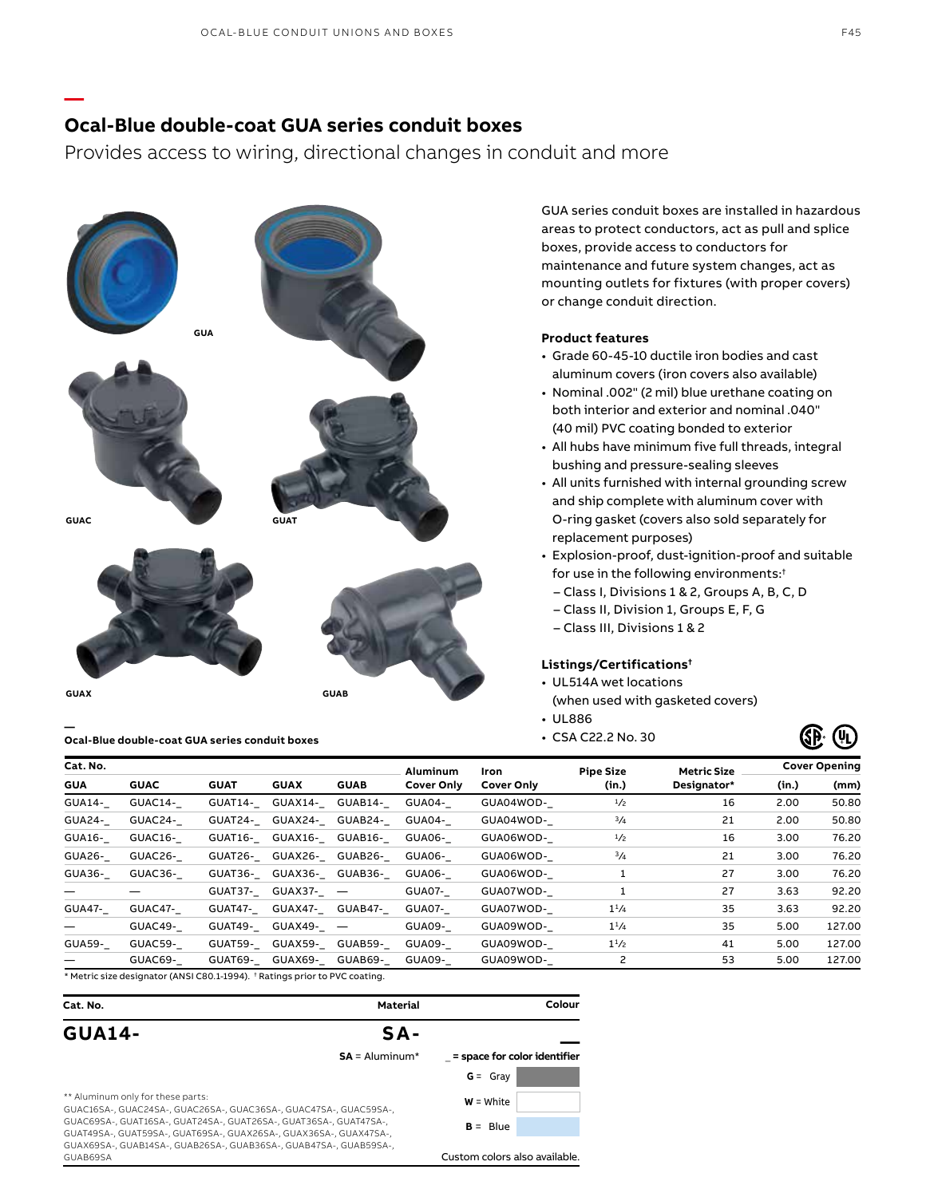### **Ocal-Blue double-coat GUA series conduit boxes**

**—**

Provides access to wiring, directional changes in conduit and more



GUA series conduit boxes are installed in hazardous areas to protect conductors, act as pull and splice boxes, provide access to conductors for maintenance and future system changes, act as mounting outlets for fixtures (with proper covers) or change conduit direction.

### **Product features**

- Grade 60-45-10 ductile iron bodies and cast aluminum covers (iron covers also available)
- Nominal .002" (2 mil) blue urethane coating on both interior and exterior and nominal .040" (40 mil) PVC coating bonded to exterior
- All hubs have minimum five full threads, integral bushing and pressure-sealing sleeves
- All units furnished with internal grounding screw and ship complete with aluminum cover with O-ring gasket (covers also sold separately for replacement purposes)
- Explosion-proof, dust-ignition-proof and suitable for use in the following environments:†
	- Class I, Divisions 1 & 2, Groups A, B, C, D
	- Class II, Division 1, Groups E, F, G
- Class III, Divisions 1 & 2

### **Listings/Certifications†**

- UL514A wet locations
- (when used with gasketed covers)
- UL886
- 



| Cat. No.      |                                                                           |             |                   | Aluminum                | Iron                                   | <b>Pipe Size</b> | <b>Metric Size</b> | <b>Cover Opening</b> |       |        |
|---------------|---------------------------------------------------------------------------|-------------|-------------------|-------------------------|----------------------------------------|------------------|--------------------|----------------------|-------|--------|
| <b>GUA</b>    | <b>GUAC</b>                                                               | <b>GUAT</b> | <b>GUAX</b>       | <b>GUAB</b>             | <b>Cover Only</b><br><b>Cover Only</b> |                  | (in.)              | Designator*          | (in.) | (mm)   |
| GUA14-        | GUAC14-                                                                   |             |                   | GUAT14- GUAX14- GUAB14- | GUA04-                                 | GUA04WOD-        | 1/2                | 16                   | 2.00  | 50.80  |
| GUA24-        | GUAC24-                                                                   | GUAT24-     |                   | GUAX24- GUAB24-         | GUA04-                                 | GUA04WOD-        | 3/4                | 21                   | 2.00  | 50.80  |
| GUA16-        | GUAC16-                                                                   |             |                   | GUAT16- GUAX16- GUAB16- | GUA06-                                 | GUA06WOD-        | 1/2                | 16                   | 3.00  | 76.20  |
| GUA26-        | GUAC26-                                                                   |             |                   | GUAT26- GUAX26- GUAB26- | GUA06-                                 | GUA06WOD-        | 3/4                | 21                   | 3.00  | 76.20  |
| GUA36-        | GUAC36-                                                                   |             |                   | GUAT36- GUAX36- GUAB36- | GUA06-                                 | GUA06WOD-        |                    | 27                   | 3.00  | 76.20  |
|               |                                                                           |             | GUAT37- GUAX37- - |                         | GUA07-                                 | GUA07WOD-        |                    | 27                   | 3.63  | 92.20  |
| <b>GUA47-</b> | GUAC47-                                                                   |             |                   | GUAT47- GUAX47- GUAB47- | GUA07-                                 | GUA07WOD-        | $1^{1/4}$          | 35                   | 3.63  | 92.20  |
|               | GUAC49-                                                                   |             | GUAT49- GUAX49- - |                         | GUA09-                                 | GUA09WOD-        | $1^{1/4}$          | 35                   | 5.00  | 127.00 |
| <b>GUA59-</b> | GUAC59-                                                                   |             |                   | GUAT59- GUAX59- GUAB59- | GUA09-                                 | GUA09WOD-        | $1^{1/2}$          | 41                   | 5.00  | 127.00 |
|               | GUAC69-                                                                   |             |                   | GUAT69- GUAX69- GUAB69- | GUA09-                                 | GUA09WOD-        |                    | 53                   | 5.00  | 127.00 |
|               | * Metric size designator (ANCLCOO 1, 1004) + Batings prior to BVC sonting |             |                   |                         |                                        |                  |                    |                      |       |        |

\* Metric size designator (ANSI C80.1-1994). † Ratings prior to PVC coating.

| Cat. No.                                                                                                                               | Material         | Colour                        |
|----------------------------------------------------------------------------------------------------------------------------------------|------------------|-------------------------------|
| <b>GUA14-</b>                                                                                                                          | $SA -$           |                               |
|                                                                                                                                        | $SA =$ Aluminum* | = space for color identifier  |
|                                                                                                                                        |                  | $G = Gray$                    |
| ** Aluminum only for these parts:<br>GUAC16SA-, GUAC24SA-, GUAC26SA-, GUAC36SA-, GUAC47SA-, GUAC59SA-,                                 | $W = White$      |                               |
| GUAC69SA-, GUAT16SA-, GUAT24SA-, GUAT26SA-, GUAT36SA-, GUAT47SA-,<br>GUAT49SA-, GUAT59SA-, GUAT69SA-, GUAX26SA-, GUAX36SA-, GUAX47SA-, | $B = Blue$       |                               |
| GUAX69SA-, GUAB14SA-, GUAB26SA-, GUAB36SA-, GUAB47SA-, GUAB59SA-,<br>GUAB69SA                                                          |                  | Custom colors also available. |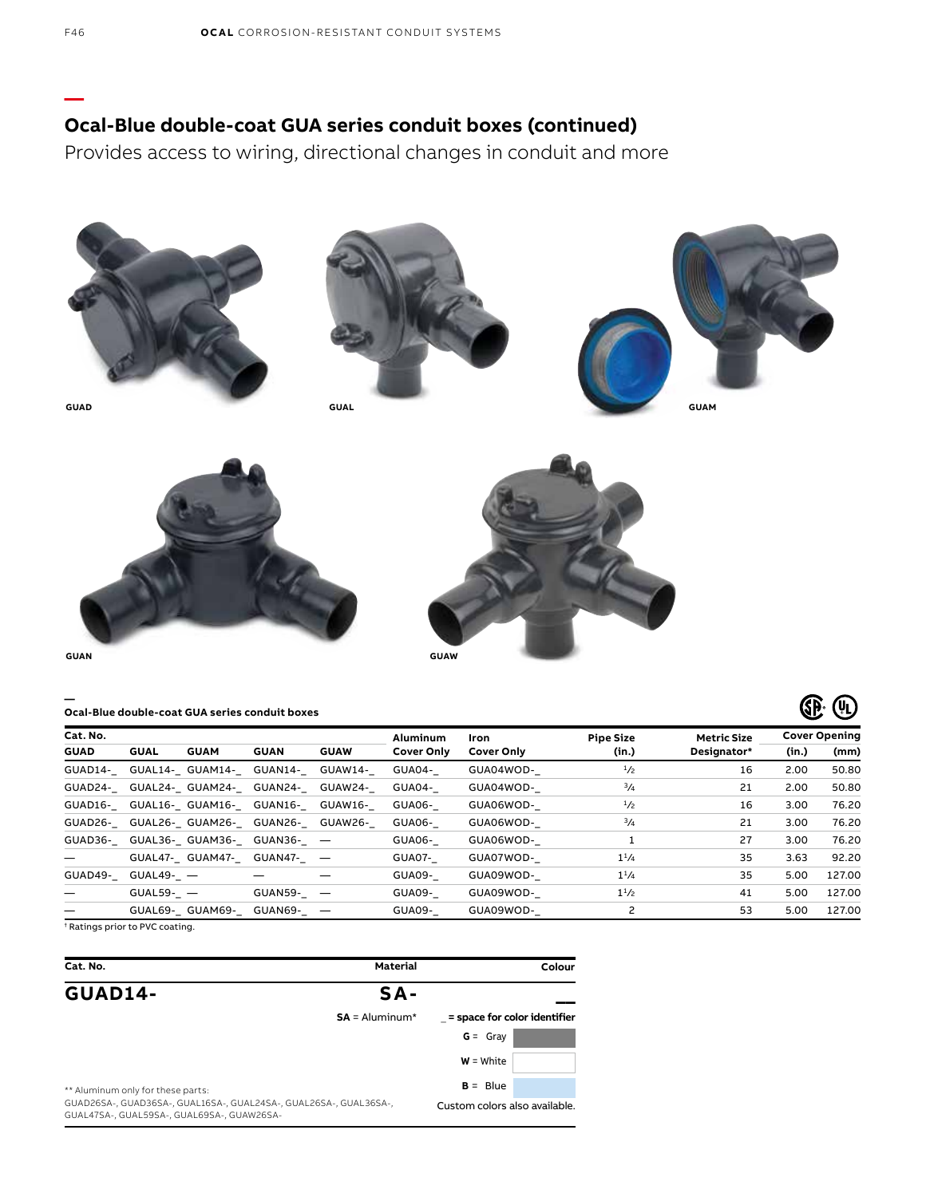## **Ocal-Blue double-coat GUA series conduit boxes (continued)**

Provides access to wiring, directional changes in conduit and more



#### **— Ocal-Blue double-coat GUA series conduit boxes**

| Cat. No.    |             |             |                                         |             | Aluminum          | Iron       | <b>Pipe Size</b> | <b>Metric Size</b> |       | <b>Cover Opening</b> |
|-------------|-------------|-------------|-----------------------------------------|-------------|-------------------|------------|------------------|--------------------|-------|----------------------|
| <b>GUAD</b> | <b>GUAL</b> | <b>GUAM</b> | <b>GUAN</b>                             | <b>GUAW</b> | <b>Cover Only</b> | Cover Only | (in.)            | Designator*        | (in.) | (mm)                 |
|             |             |             | GUAD14- GUAL14- GUAM14- GUAN14- GUAW14- |             | GUA04-            | GUA04WOD-  | 1/2              | 16                 | 2.00  | 50.80                |
|             |             |             | GUAD24- GUAL24- GUAM24- GUAN24- GUAW24- |             | GUA04-            | GUA04WOD-  | $^{3}/_{4}$      | 21                 | 2.00  | 50.80                |
|             |             |             | GUAD16- GUAL16- GUAM16- GUAN16- GUAW16- |             | GUA06-            | GUA06WOD-  | 1/2              | 16                 | 3.00  | 76.20                |
|             |             |             | GUAD26- GUAL26- GUAM26- GUAN26- GUAW26- |             | GUA06-            | GUA06WOD-  | 3/4              | 21                 | 3.00  | 76.20                |
|             |             |             | GUAD36- GUAL36- GUAM36- GUAN36- -       |             | GUA06-            | GUA06WOD-  |                  | 27                 | 3.00  | 76.20                |
|             |             |             | GUAL47- GUAM47- GUAN47- -               |             | GUA07-            | GUA07WOD-  | $1^{1/4}$        | 35                 | 3.63  | 92.20                |
| GUAD49-     | GUAL49- —   |             |                                         |             | GUA09-            | GUA09WOD-  | $1^{1/4}$        | 35                 | 5.00  | 127.00               |
|             | $GUAL59 -$  |             | GUAN59-_ -                              |             | GUA09-            | GUA09WOD-  | $1^{1/2}$        | 41                 | 5.00  | 127.00               |
|             |             |             | GUAL69- GUAM69- GUAN69- -               |             | GUA09-            | GUA09WOD-  |                  | 53                 | 5.00  | 127.00               |

**4 4** 

† Ratings prior to PVC coating.

| Cat. No.                                                                                                        | <b>Material</b>  | Colour                        |
|-----------------------------------------------------------------------------------------------------------------|------------------|-------------------------------|
| <b>GUAD14-</b>                                                                                                  | $SA -$           |                               |
|                                                                                                                 | $SA =$ Aluminum* | = space for color identifier  |
|                                                                                                                 |                  | $G = Gray$                    |
|                                                                                                                 |                  | $W = White$                   |
| ** Aluminum only for these parts:                                                                               |                  | $B = Blue$                    |
| GUAD26SA-, GUAD36SA-, GUAL16SA-, GUAL24SA-, GUAL26SA-, GUAL36SA-,<br>GUAL47SA-, GUAL59SA-, GUAL69SA-, GUAW26SA- |                  | Custom colors also available. |

**—**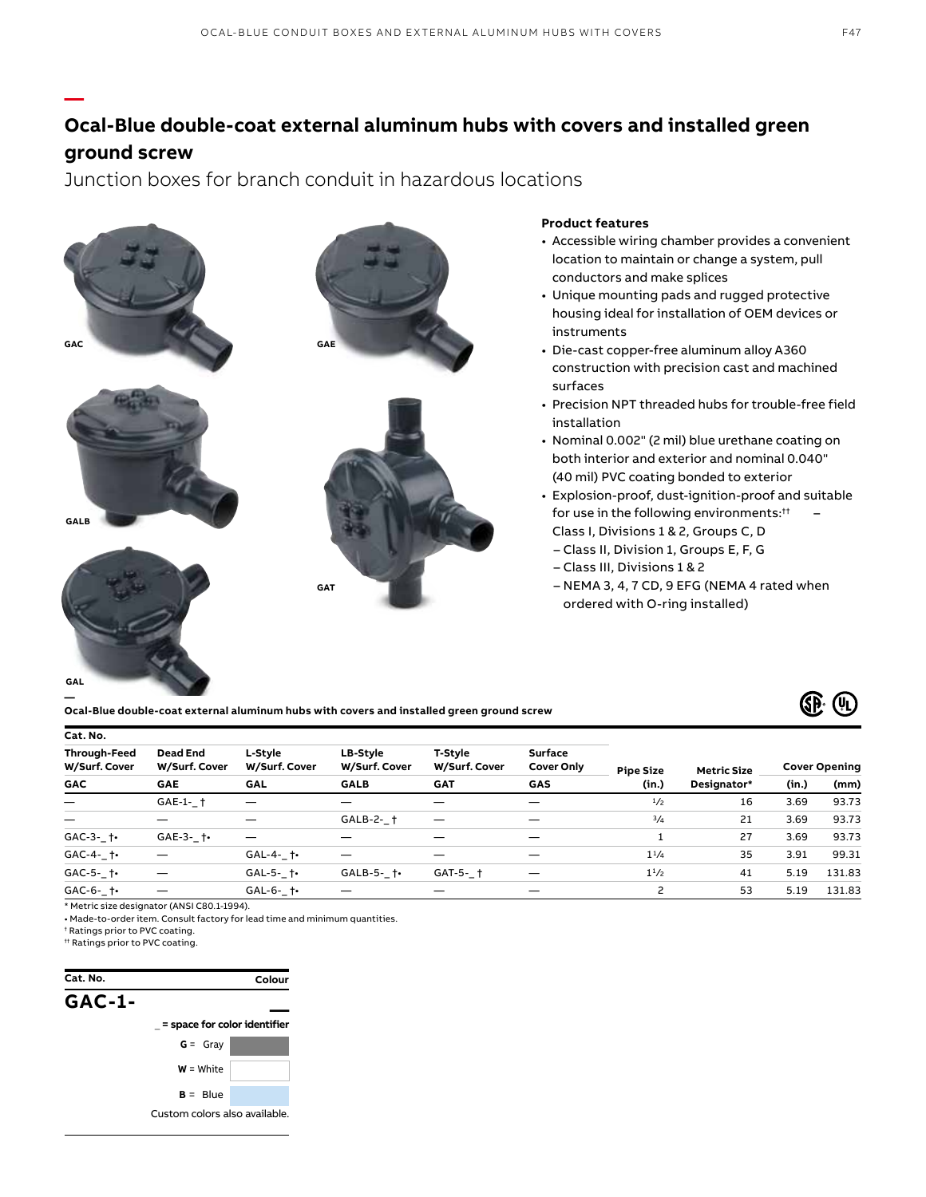# **Ocal-Blue double-coat external aluminum hubs with covers and installed green ground screw**

Junction boxes for branch conduit in hazardous locations



**Ocal-Blue double-coat external aluminum hubs with covers and installed green ground screw**



| Cat. No.                      |                                  |                          |                           |                          |                                     |                  |                    |       |                      |  |
|-------------------------------|----------------------------------|--------------------------|---------------------------|--------------------------|-------------------------------------|------------------|--------------------|-------|----------------------|--|
| Through-Feed<br>W/Surf. Cover | <b>Dead End</b><br>W/Surf. Cover | L-Stvle<br>W/Surf. Cover | LB-Style<br>W/Surf. Cover | T-Stvle<br>W/Surf. Cover | <b>Surface</b><br><b>Cover Only</b> | <b>Pipe Size</b> | <b>Metric Size</b> |       | <b>Cover Opening</b> |  |
| <b>GAC</b>                    | <b>GAE</b>                       | <b>GAL</b>               | <b>GALB</b>               | <b>GAT</b>               | GAS                                 | (in.)            | Designator*        | (in.) | (mm)                 |  |
| $\qquad \qquad -$             | $GAE-1-1$                        | —                        |                           |                          |                                     | 1/2              | 16                 | 3.69  | 93.73                |  |
| $\overline{\phantom{0}}$      |                                  |                          | GALB-2- †                 |                          |                                     | $^{3}/_{4}$      | 21                 | 3.69  | 93.73                |  |
| GAC-3- $\dagger$              | $GAE-3-1$                        | —                        |                           |                          |                                     |                  | 27                 | 3.69  | 93.73                |  |
| $GAC-4 \uparrow$              |                                  | $GAL-4 \dagger$          |                           |                          |                                     | $1^{1/4}$        | 35                 | 3.91  | 99.31                |  |
| GAC-5- $\dagger$              |                                  | $GAL-5-$ †•              | $GALB-5 \dagger$          | GAT-5- †                 |                                     | $1^{1/2}$        | 41                 | 5.19  | 131.83               |  |
| $GAC-6-$ to                   |                                  | $GAL-6 \dagger$          |                           |                          |                                     | $\overline{c}$   | 53                 | 5.19  | 131.83               |  |
|                               |                                  |                          |                           |                          |                                     |                  |                    |       |                      |  |

\* Metric size designator (ANSI C80.1-1994).

• Made-to-order item. Consult factory for lead time and minimum quantities.

† Ratings prior to PVC coating.

†† Ratings prior to PVC coating.

**—**

**—**

**Cat. No. GAC-1- \_\_** \_ **= space for color identifier G** = Gray **W** = White  $B = Blue$ Custom colors also available. **Colour**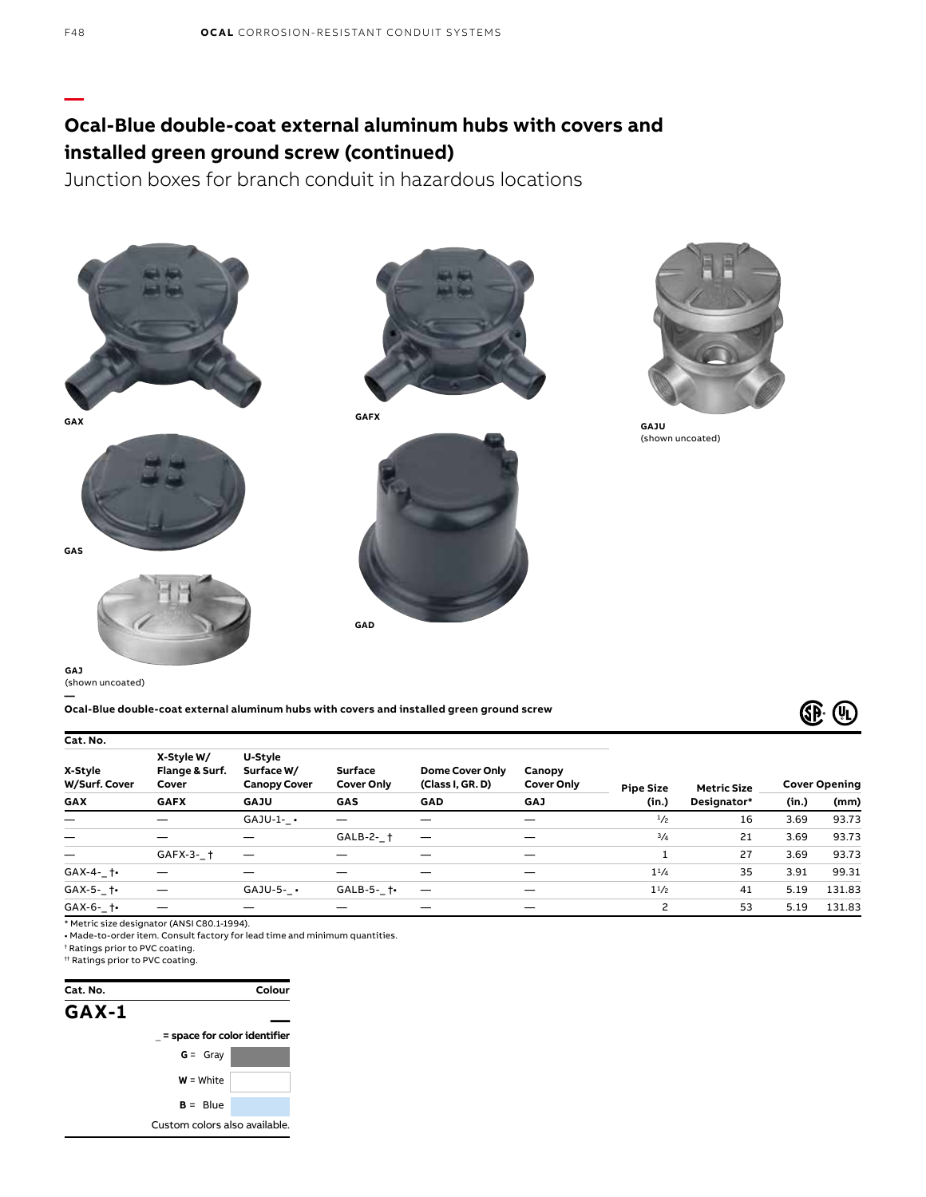# **Ocal-Blue double-coat external aluminum hubs with covers and installed green ground screw (continued)**

Junction boxes for branch conduit in hazardous locations









**GAFX**





**GAJU** (shown uncoated)

**GAJ**  (shown uncoated)

**— Ocal-Blue double-coat external aluminum hubs with covers and installed green ground screw**



| Cat. No.                 |                                       |                                              |                                                         |                          |                             |                  |                    |                      |        |
|--------------------------|---------------------------------------|----------------------------------------------|---------------------------------------------------------|--------------------------|-----------------------------|------------------|--------------------|----------------------|--------|
| X-Style<br>W/Surf. Cover | X-Style W/<br>Flange & Surf.<br>Cover | U-Style<br>Surface W/<br><b>Canopy Cover</b> | <b>Surface</b><br>(Class I, GR. D)<br><b>Cover Only</b> | <b>Dome Cover Only</b>   | Canopy<br><b>Cover Only</b> | <b>Pipe Size</b> | <b>Metric Size</b> | <b>Cover Opening</b> |        |
| <b>GAX</b>               | <b>GAFX</b>                           | <b>GAJU</b>                                  | GAS                                                     | GAD                      | <b>GAJ</b>                  | (in.)            | Designator*        | (in.)                | (mm)   |
|                          |                                       | $GAJU-1-$                                    |                                                         |                          | $\overline{\phantom{0}}$    | 1/2              | 16                 | 3.69                 | 93.73  |
|                          |                                       |                                              | GALB-2- †                                               | $\overline{\phantom{m}}$ | —                           | $^{3}/_{4}$      | 21                 | 3.69                 | 93.73  |
|                          | $GAFX-3-1$                            | $\hspace{0.05cm}$                            |                                                         |                          |                             |                  | 27                 | 3.69                 | 93.73  |
| $GAX-4-$ †•              |                                       |                                              |                                                         |                          |                             | $1^{1/4}$        | 35                 | 3.91                 | 99.31  |
| $GAX-5 \uparrow$         | —                                     | $GAJU-5-$                                    | $GALB-5 \dagger$                                        | $\overline{\phantom{m}}$ |                             | $1^{1/2}$        | 41                 | 5.19                 | 131.83 |
| $GAX-6-$ to              |                                       |                                              |                                                         |                          |                             | 2                | 53                 | 5.19                 | 131.83 |

\* Metric size designator (ANSI C80.1-1994).

• Made-to-order item. Consult factory for lead time and minimum quantities.

† Ratings prior to PVC coating.

†† Ratings prior to PVC coating.



**—**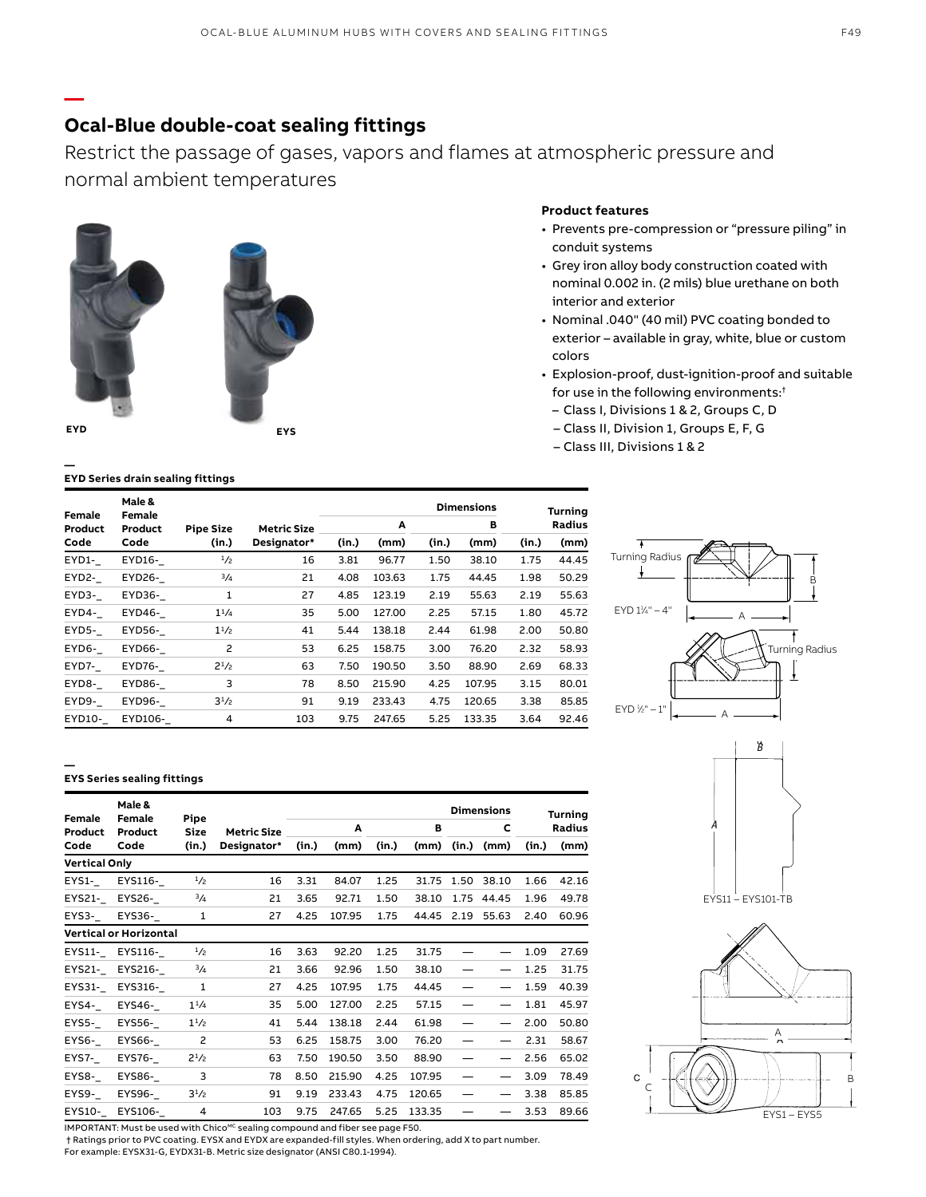## **Ocal-Blue double-coat sealing fittings**

Restrict the passage of gases, vapors and flames at atmospheric pressure and normal ambient temperatures



**—**

**—**



### **Product features**

- Prevents pre-compression or "pressure piling" in conduit systems
- Grey iron alloy body construction coated with nominal 0.002 in. (2 mils) blue urethane on both interior and exterior
- Nominal .040" (40 mil) PVC coating bonded to exterior – available in gray, white, blue or custom colors
- Explosion-proof, dust-ignition-proof and suitable for use in the following environments:†
	- Class I, Divisions 1 & 2, Groups C, D
	- Class II, Division 1, Groups E, F, G
	- Class III, Divisions 1 & 2

|                      | Male &  |                  |                    |  |
|----------------------|---------|------------------|--------------------|--|
| Female               | Female  |                  |                    |  |
| Product              | Product | <b>Pipe Size</b> | <b>Metric Size</b> |  |
| $\sim$ $\sim$ $\sim$ |         |                  |                    |  |

**EYD Series drain sealing fittings**

| Female  | Male &<br>Female |                  |                    |       |        |       | <b>Dimensions</b> |       | <b>Turning</b> |
|---------|------------------|------------------|--------------------|-------|--------|-------|-------------------|-------|----------------|
| Product | Product          | <b>Pipe Size</b> | <b>Metric Size</b> |       | A      |       | в                 |       | <b>Radius</b>  |
| Code    | Code             | (in.)            | Designator*        | (in.) | (mm)   | (in.) | (mm)              | (in.) | (mm)           |
| EYD1-   | EYD16-           | 1/2              | 16                 | 3.81  | 96.77  | 1.50  | 38.10             | 1.75  | 44.45          |
| EYD2-   | EYD26-           | 3/4              | 21                 | 4.08  | 103.63 | 1.75  | 44.45             | 1.98  | 50.29          |
| EYD3-   | EYD36-           | 1                | 27                 | 4.85  | 123.19 | 2.19  | 55.63             | 2.19  | 55.63          |
| EYD4-   | EYD46-           | $1^{1/4}$        | 35                 | 5.00  | 127.00 | 2.25  | 57.15             | 1.80  | 45.72          |
| EYD5-   | EYD56-           | $1^{1/2}$        | 41                 | 5.44  | 138.18 | 2.44  | 61.98             | 2.00  | 50.80          |
| EYD6-   | EYD66-           | 2                | 53                 | 6.25  | 158.75 | 3.00  | 76.20             | 2.32  | 58.93          |
| EYD7-   | EYD76-           | $2^{1/2}$        | 63                 | 7.50  | 190.50 | 3.50  | 88.90             | 2.69  | 68.33          |
| EYD8-   | EYD86-           | 3                | 78                 | 8.50  | 215.90 | 4.25  | 107.95            | 3.15  | 80.01          |
| EYD9-   | EYD96-           | $3^{1}/2$        | 91                 | 9.19  | 233.43 | 4.75  | 120.65            | 3.38  | 85.85          |
| EYD10-  | EYD106-          | 4                | 103                | 9.75  | 247.65 | 5.25  | 133.35            | 3.64  | 92.46          |

# Turning Radius B EYD 11 ⁄4" – 4" A ł Turning Radius EYD 1 ⁄2" – 1" A





#### **— EYS Series sealing fittings**

|                      | Male &                        |                     |                    |       |        |       |        |       | <b>Dimensions</b> |       | <b>Turning</b> |
|----------------------|-------------------------------|---------------------|--------------------|-------|--------|-------|--------|-------|-------------------|-------|----------------|
| Female<br>Product    | Female<br>Product             | Pipe<br><b>Size</b> | <b>Metric Size</b> |       | Α      |       | в      |       | C                 |       | <b>Radius</b>  |
| Code                 | Code                          | (in.)               | Designator*        | (in.) | (mm)   | (in.) | (mm)   | (in.) | (mm)              | (in.) | (mm)           |
| <b>Vertical Only</b> |                               |                     |                    |       |        |       |        |       |                   |       |                |
| EYS1-                | EYS116-                       | 1/2                 | 16                 | 3.31  | 84.07  | 1.25  | 31.75  | 1.50  | 38.10             | 1.66  | 42.16          |
| EYS21-               | EYS26-                        | $\frac{3}{4}$       | 21                 | 3.65  | 92.71  | 1.50  | 38.10  |       | 1.75 44.45        | 1.96  | 49.78          |
| EYS3-                | EYS36-                        | 1                   | 27                 | 4.25  | 107.95 | 1.75  | 44.45  | 2.19  | 55.63             | 2.40  | 60.96          |
|                      | <b>Vertical or Horizontal</b> |                     |                    |       |        |       |        |       |                   |       |                |
|                      | EYS11- EYS116-                | $\frac{1}{2}$       | 16                 | 3.63  | 92.20  | 1.25  | 31.75  |       |                   | 1.09  | 27.69          |
| EYS21-               | EYS216-                       | 3/4                 | 21                 | 3.66  | 92.96  | 1.50  | 38.10  |       |                   | 1.25  | 31.75          |
| EYS31-               | EYS316-                       | 1                   | 27                 | 4.25  | 107.95 | 1.75  | 44.45  |       |                   | 1.59  | 40.39          |
| EYS4-                | EYS46-                        | $1^{1/4}$           | 35                 | 5.00  | 127.00 | 2.25  | 57.15  |       |                   | 1.81  | 45.97          |
| EYS5-                | EYS56-                        | $1^{1/2}$           | 41                 | 5.44  | 138.18 | 2.44  | 61.98  |       |                   | 2.00  | 50.80          |
| EYS6-                | EYS66-                        | $\overline{c}$      | 53                 | 6.25  | 158.75 | 3.00  | 76.20  |       |                   | 2.31  | 58.67          |
| EYS7-                | EYS76-                        | $2^{1/2}$           | 63                 | 7.50  | 190.50 | 3.50  | 88.90  |       |                   | 2.56  | 65.02          |
| EYS8-                | EYS86-                        | 3                   | 78                 | 8.50  | 215.90 | 4.25  | 107.95 |       |                   | 3.09  | 78.49          |
| EYS9-                | EYS96-                        | $3^{1/2}$           | 91                 | 9.19  | 233.43 | 4.75  | 120.65 |       |                   | 3.38  | 85.85          |
| EYS10-               | EYS106-                       | 4                   | 103                | 9.75  | 247.65 | 5.25  | 133.35 |       |                   | 3.53  | 89.66          |

 $IMPORTANT: Must be used with Choice <sub>MC</sub> scaling compound and fiber see page F50.$ 

 † Ratings prior to PVC coating. EYSX and EYDX are expanded-fill styles. When ordering, add X to part number. For example: EYSX31-G, EYDX31-B. Metric size designator (ANSI C80.1-1994).